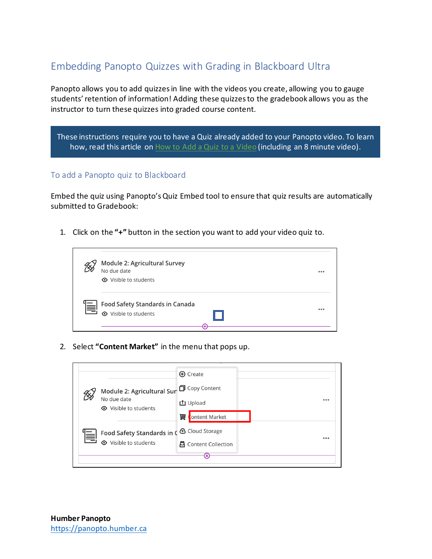# Embedding Panopto Quizzes with Grading in Blackboard Ultra

Panopto allows you to add quizzes in line with the videos you create, allowing you to gauge students' retention of information! Adding these quizzes to the gradebook allows you as the instructor to turn these quizzes into graded course content.

These instructions require you to have a Quiz already added to your Panopto video. To learn how, read this article on [How to Add a Quiz to a Video](https://support.panopto.com/s/article/How-to-Add-a-Quiz-to-a-Video) (including an 8 minute video).

## To add a Panopto quiz to Blackboard

Embed the quiz using Panopto's Quiz Embed tool to ensure that quiz results are automatically submitted to Gradebook:

1. Click on the **"+"** button in the section you want to add your video quiz to.



2. Select **"Content Market"** in the menu that pops up.

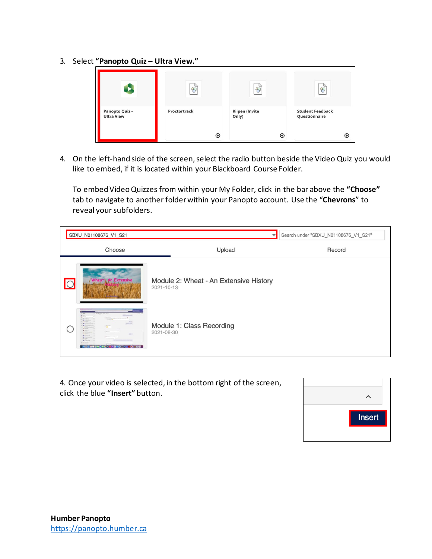3. Select **"Panopto Quiz – Ultra View."**



4. On the left-hand side of the screen, select the radio button beside the Video Quiz you would like to embed, if it is located within your Blackboard Course Folder.

To embed Video Quizzes from within your My Folder, click in the bar above the **"Choose"** tab to navigate to another folder within your Panopto account. Use the "**Chevrons**" to reveal your subfolders.

|         | SBXU_N01108676_V1_S21                                                                                                                                                                                                                                                           | Search under "SBXU_N01108676_V1_S21"                 |        |
|---------|---------------------------------------------------------------------------------------------------------------------------------------------------------------------------------------------------------------------------------------------------------------------------------|------------------------------------------------------|--------|
|         | Choose                                                                                                                                                                                                                                                                          | Upload                                               | Record |
| $\circ$ | /Wheat An Extensive                                                                                                                                                                                                                                                             | Module 2: Wheat - An Extensive History<br>2021-10-13 |        |
|         | TO SHARROOM<br><b>Millen Corp.</b><br>0<br><b>COL</b><br><b>HERE'S</b><br><b>CONTRACTOR</b><br>$\bullet$<br>$+77$<br>A POINT<br>Altimo<br>A Million<br><b>B. Milliams</b><br><b>Section</b><br><b>Manufacturer</b><br><b>R. Milliams</b><br><b>BOOGS@&amp;BROCKGOAGO@KGOGWU</b> | Module 1: Class Recording<br>2021-08-30              |        |

4. Once your video is selected, in the bottom right of the screen, click the blue **"Insert"** button.

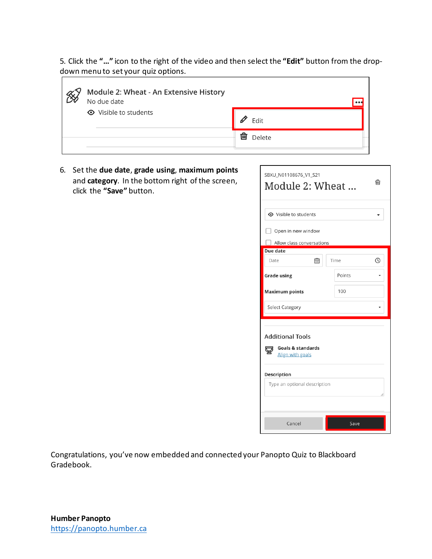5. Click the **"…"** icon to the right of the video and then select the **"Edit"** button from the dropdown menu to set your quiz options.

| Module 2: Wheat - An Extensive History<br>No due date |             |
|-------------------------------------------------------|-------------|
| <b>⊙</b> Visible to students                          | 0<br>Edit   |
|                                                       | 俪<br>Delete |

6. Set the **due date**, **grade using**, **maximum points** and **category**. In the bottom right of the screen, click the **"Save"** button.

| SBXU_N01108676_V1_S21<br>प्तिा<br>Module 2: Wheat                                                                                 |        |  |  |  |  |
|-----------------------------------------------------------------------------------------------------------------------------------|--------|--|--|--|--|
| <b>⊙</b> Visible to students                                                                                                      |        |  |  |  |  |
| Open in new window                                                                                                                |        |  |  |  |  |
| Allow class conversations                                                                                                         |        |  |  |  |  |
| Due date                                                                                                                          |        |  |  |  |  |
| Date<br>屇                                                                                                                         | Time   |  |  |  |  |
| <b>Grade using</b>                                                                                                                | Points |  |  |  |  |
| <b>Maximum points</b>                                                                                                             | 100    |  |  |  |  |
| <b>Select Category</b>                                                                                                            |        |  |  |  |  |
| <b>Additional Tools</b><br><b>Goals &amp; standards</b><br>Align with goals<br><b>Description</b><br>Type an optional description |        |  |  |  |  |
| Cancel                                                                                                                            | Save   |  |  |  |  |

Congratulations, you've now embedded and connected your Panopto Quiz to Blackboard Gradebook.